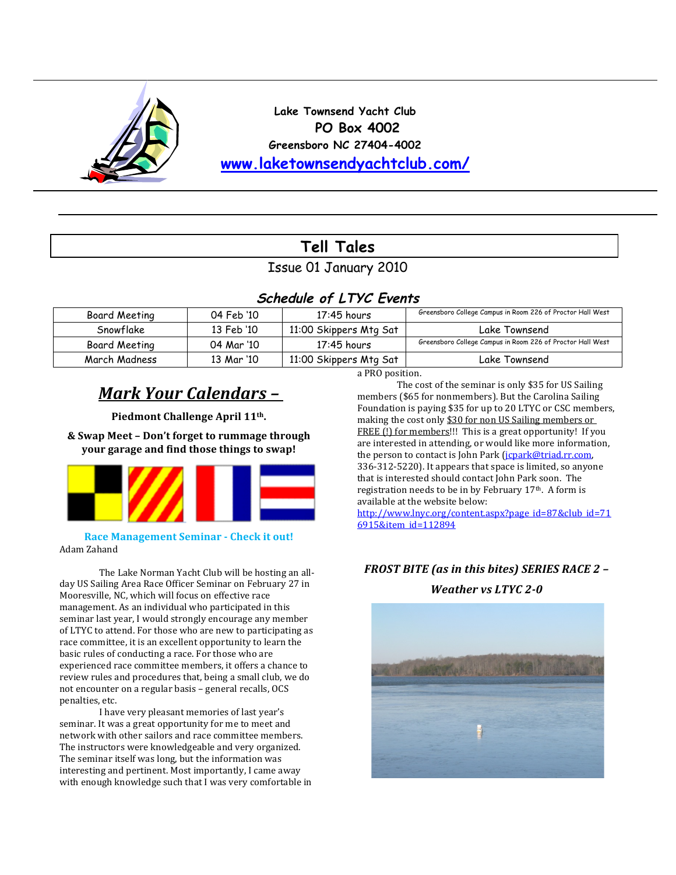

**Lake Townsend Yacht Club PO Box 4002 Greensboro NC 27404-4002 www.laketownsendyachtclub.com/**

# **Tell Tales**

## Issue 01 January 2010

## **Schedule of LTYC Events**

| Board Meeting | 04 Feb '10 | $17:45$ hours          | Greensboro College Campus in Room 226 of Proctor Hall West |
|---------------|------------|------------------------|------------------------------------------------------------|
| Snowflake     | 13 Feb '10 | 11:00 Skippers Mtg Sat | Lake Townsend                                              |
| Board Meeting | 04 Mar '10 | $17:45$ hours          | Greensboro College Campus in Room 226 of Proctor Hall West |
| March Madness | 13 Mar '10 | 11:00 Skippers Mtg Sat | Lake Townsend                                              |

## *Mark Your Calendars –*

Piedmont Challenge April 11<sup>th</sup>.

**&)Swap)Meet)–)Don't)forget)to)rummage)through) your)garage)and)find)those)things)to)swap!**



#### **Race Management Seminar - Check it out!** Adam Zahand

The Lake Norman Yacht Club will be hosting an allday US Sailing Area Race Officer Seminar on February 27 in Mooresville, NC, which will focus on effective race management. As an individual who participated in this seminar last year, I would strongly encourage any member of LTYC to attend. For those who are new to participating as race committee, it is an excellent opportunity to learn the basic rules of conducting a race. For those who are experienced race committee members, it offers a chance to review rules and procedures that, being a small club, we do not encounter on a regular basis – general recalls, OCS penalties, etc.

I have very pleasant memories of last year's seminar. It was a great opportunity for me to meet and network with other sailors and race committee members. The instructors were knowledgeable and very organized. The seminar itself was long, but the information was interesting and pertinent. Most importantly, I came away with enough knowledge such that I was very comfortable in a PRO position.

The cost of the seminar is only \$35 for US Sailing members (\$65 for nonmembers). But the Carolina Sailing Foundation is paying \$35 for up to 20 LTYC or CSC members, making the cost only \$30 for non US Sailing members or FREE (!) for members!!! This is a great opportunity! If you are interested in attending, or would like more information, the person to contact is John Park (*jcpark@triad.rr.com*, 336-312-5220). It appears that space is limited, so anyone that is interested should contact John Park soon. The registration needs to be in by February 17<sup>th</sup>. A form is available at the website below: http://www.lnyc.org/content.aspx?page\_id=87&club\_id=71

6915&item\_id=112894

## *FROST%BITE%(as%in%this%bites)%SERIES%RACE%2%–*

### *Weather vs LTYC 2-0*

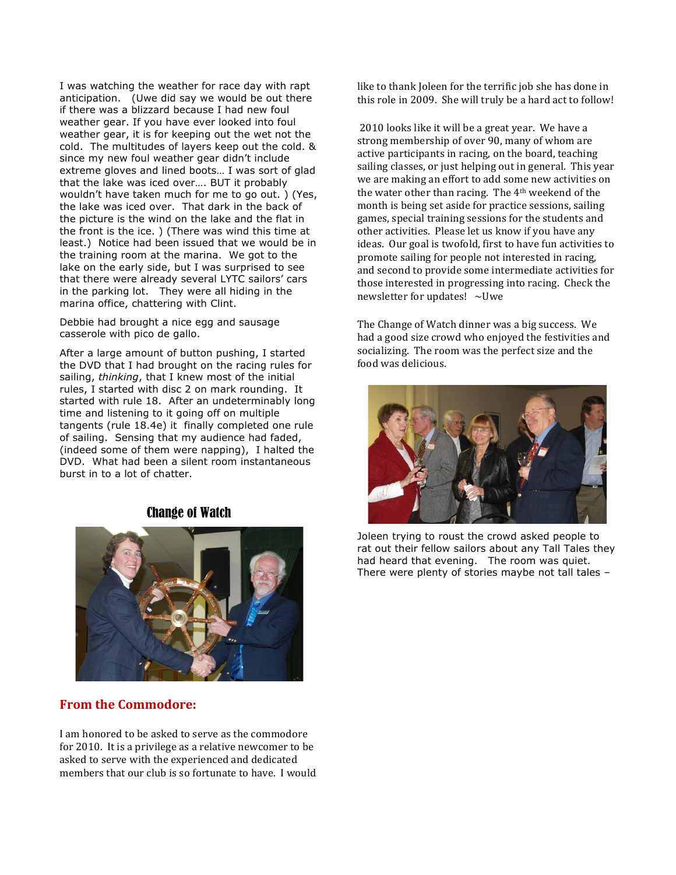I was watching the weather for race day with rapt anticipation. (Uwe did say we would be out there if there was a blizzard because I had new foul weather gear. If you have ever looked into foul weather gear, it is for keeping out the wet not the cold. The multitudes of layers keep out the cold. & since my new foul weather gear didn't include extreme gloves and lined boots… I was sort of glad that the lake was iced over…. BUT it probably wouldn't have taken much for me to go out. ) (Yes, the lake was iced over. That dark in the back of the picture is the wind on the lake and the flat in the front is the ice. ) (There was wind this time at least.) Notice had been issued that we would be in the training room at the marina. We got to the lake on the early side, but I was surprised to see that there were already several LYTC sailors' cars in the parking lot. They were all hiding in the marina office, chattering with Clint.

Debbie had brought a nice egg and sausage casserole with pico de gallo.

After a large amount of button pushing, I started the DVD that I had brought on the racing rules for sailing, *thinking*, that I knew most of the initial rules, I started with disc 2 on mark rounding. It started with rule 18. After an undeterminably long time and listening to it going off on multiple tangents (rule 18.4e) it finally completed one rule of sailing. Sensing that my audience had faded, (indeed some of them were napping), I halted the DVD. What had been a silent room instantaneous burst in to a lot of chatter.

#### Change of Watch



#### **From the Commodore:**

I am honored to be asked to serve as the commodore for 2010. It is a privilege as a relative newcomer to be asked to serve with the experienced and dedicated members that our club is so fortunate to have. I would like to thank Joleen for the terrific job she has done in this role in 2009. She will truly be a hard act to follow!

2010 looks like it will be a great year. We have a strong membership of over 90, many of whom are active participants in racing, on the board, teaching sailing classes, or just helping out in general. This year we are making an effort to add some new activities on the water other than racing. The  $4<sup>th</sup>$  weekend of the month is being set aside for practice sessions, sailing games, special training sessions for the students and other activities. Please let us know if you have any ideas. Our goal is twofold, first to have fun activities to promote sailing for people not interested in racing, and second to provide some intermediate activities for those interested in progressing into racing. Check the newsletter for updates!  $\sim$ Uwe

The Change of Watch dinner was a big success. We had a good size crowd who enjoyed the festivities and socializing. The room was the perfect size and the food was delicious.



Joleen trying to roust the crowd asked people to rat out their fellow sailors about any Tall Tales they had heard that evening. The room was quiet. There were plenty of stories maybe not tall tales –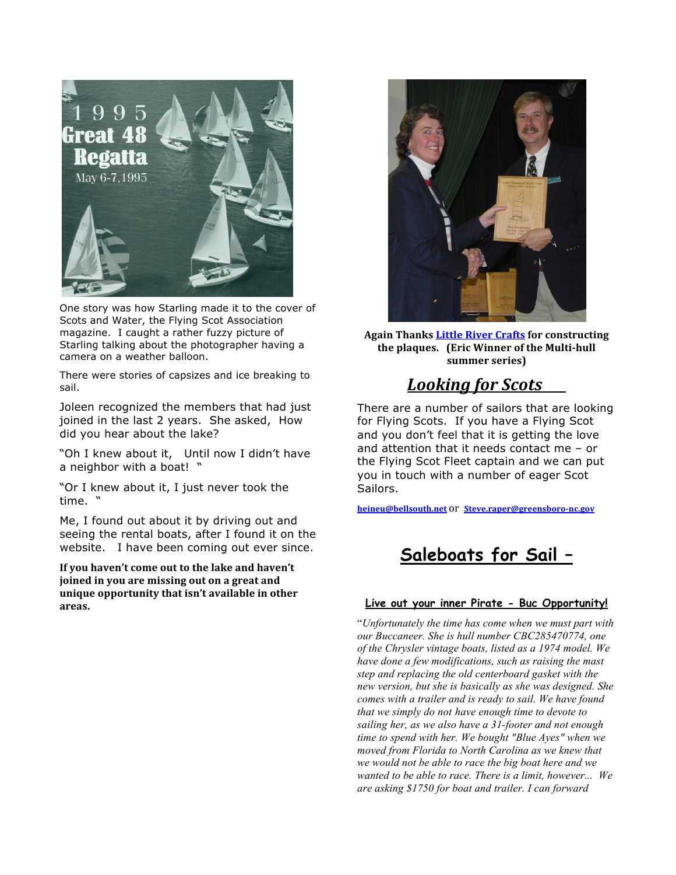

One story was how Starling made it to the cover of Scots and Water, the Flying Scot Association magazine. I caught a rather fuzzy picture of Starling talking about the photographer having a camera on a weather balloon.

There were stories of capsizes and ice breaking to sail.

Joleen recognized the members that had just joined in the last 2 years. She asked, How did you hear about the lake?

"Oh I knew about it, Until now I didn't have a neighbor with a boat! "

"Or I knew about it, I just never took the time. "

Me, I found out about it by driving out and seeing the rental boats, after I found it on the website. I have been coming out ever since.

If you haven't come out to the lake and haven't **joined)in)you)are)missing)out)on)a)great)and) unique)opportunity)that)isn't)available)in)other) areas.))**



Again Thanks **Little River Crafts** for constructing the plaques. (Eric Winner of the Multi-hull summer series)

## *Looking for Scots*

There are a number of sailors that are looking for Flying Scots. If you have a Flying Scot and you don't feel that it is getting the love and attention that it needs contact me – or the Flying Scot Fleet captain and we can put you in touch with a number of eager Scot Sailors.

**heineu@bellsouth.net** Or **Steve.raper@greensboro-nc.gov** 

# **Saleboats for Sail –**

#### **Live out your inner Pirate - Buc Opportunity!**

"*Unfortunately the time has come when we must part with our Buccaneer. She is hull number CBC285470774, one of the Chrysler vintage boats, listed as a 1974 model. We have done a few modifications, such as raising the mast step and replacing the old centerboard gasket with the new version, but she is basically as she was designed. She comes with a trailer and is ready to sail. We have found that we simply do not have enough time to devote to sailing her, as we also have a 31-footer and not enough time to spend with her. We bought "Blue Ayes" when we moved from Florida to North Carolina as we knew that we would not be able to race the big boat here and we wanted to be able to race. There is a limit, however... We are asking \$1750 for boat and trailer. I can forward*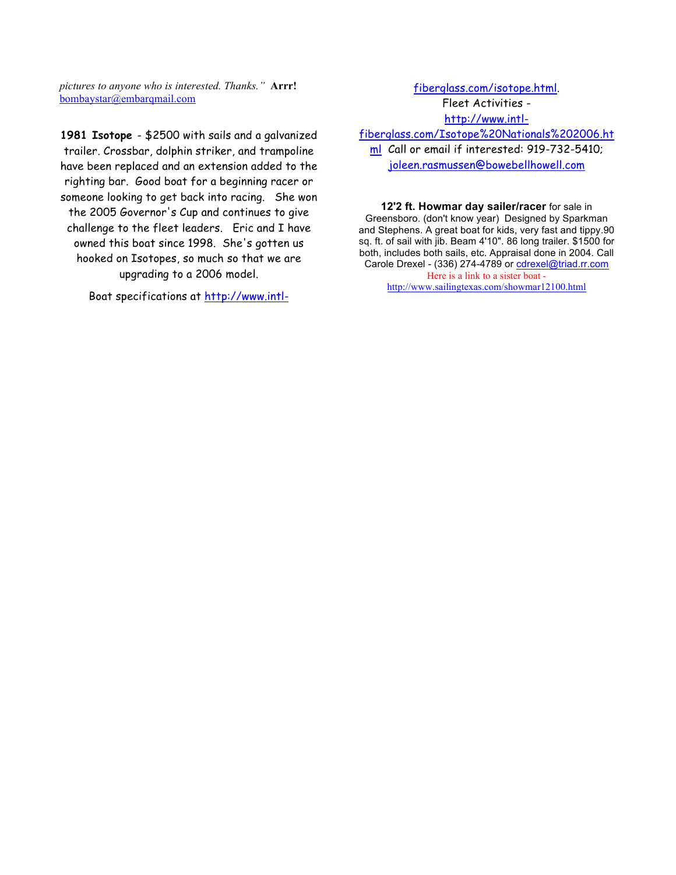*pictures to anyone who is interested. Thanks."* **Arrr!**  bombaystar@embarqmail.com

**1981 Isotope** - \$2500 with sails and a galvanized trailer. Crossbar, dolphin striker, and trampoline have been replaced and an extension added to the righting bar. Good boat for a beginning racer or someone looking to get back into racing. She won the 2005 Governor's Cup and continues to give challenge to the fleet leaders. Eric and I have owned this boat since 1998. She's gotten us hooked on Isotopes, so much so that we are upgrading to a 2006 model.

Boat specifications at http://www.intl-

fiberglass.com/isotope.html. Fleet Activities http://www.intlfiberglass.com/Isotope%20Nationals%202006.ht ml Call or email if interested: 919-732-5410;

joleen.rasmussen@bowebellhowell.com

**12'2 ft. Howmar day sailer/racer** for sale in Greensboro. (don't know year) Designed by Sparkman and Stephens. A great boat for kids, very fast and tippy.90 sq. ft. of sail with jib. Beam 4'10". 86 long trailer. \$1500 for both, includes both sails, etc. Appraisal done in 2004. Call Carole Drexel - (336) 274-4789 or cdrexel@triad.rr.com Here is a link to a sister boat http://www.sailingtexas.com/showmar12100.html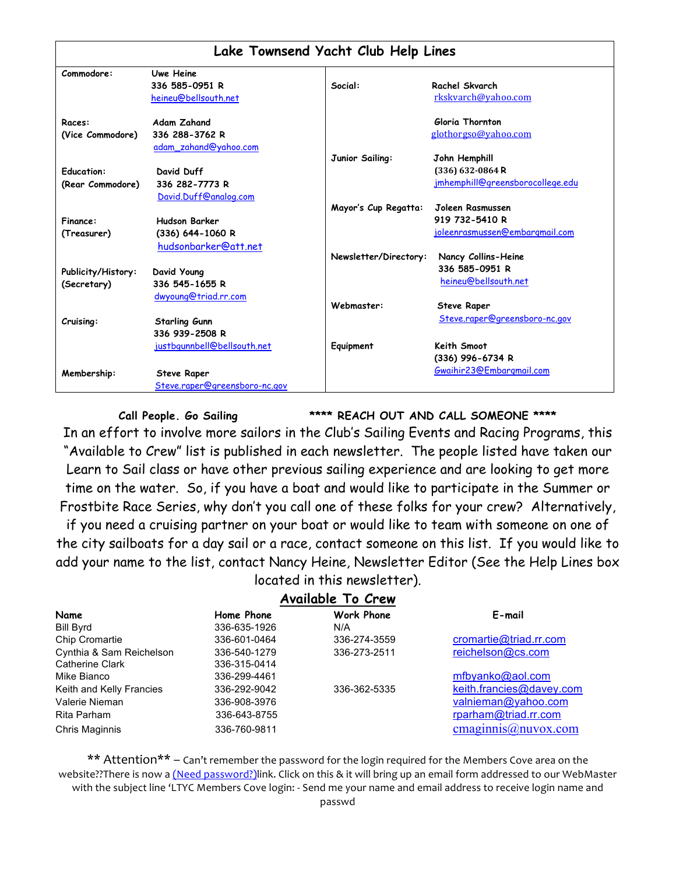| Lake Townsend Yacht Club Help Lines |                               |                       |                                  |  |  |
|-------------------------------------|-------------------------------|-----------------------|----------------------------------|--|--|
| Commodore:                          | Uwe Heine                     |                       |                                  |  |  |
|                                     | 336 585-0951 R                | Social:               | Rachel Skvarch                   |  |  |
|                                     | heineu@bellsouth.net          |                       | rkskvarch@yahoo.com              |  |  |
| Races:                              | <b>Adam Zahand</b>            |                       | Gloria Thornton                  |  |  |
| (Vice Commodore)                    | 336 288-3762 R                |                       | glothorgso@yahoo.com             |  |  |
|                                     | adam_zahand@yahoo.com         |                       |                                  |  |  |
|                                     |                               | Junior Sailing:       | John Hemphill                    |  |  |
| <b>Education:</b>                   | David Duff                    |                       | (336) 632-0864 R                 |  |  |
| (Rear Commodore)                    | 336 282-7773 R                |                       | jmhemphill@greensborocollege.edu |  |  |
|                                     | David.Duff@analog.com         |                       |                                  |  |  |
|                                     |                               | Mayor's Cup Regatta:  | Joleen Rasmussen                 |  |  |
| Finance:                            | <b>Hudson Barker</b>          |                       | 919 732-5410 R                   |  |  |
| (Treasurer)                         | (336) 644-1060 R              |                       | joleenrasmussen@embargmail.com   |  |  |
|                                     | hudsonbarker@att.net          |                       |                                  |  |  |
|                                     |                               | Newsletter/Directory: | Nancy Collins-Heine              |  |  |
| Publicity/History:                  | David Young                   |                       | 336 585-0951 R                   |  |  |
| (Secretary)                         | 336 545-1655 R                |                       | heineu@bellsouth.net             |  |  |
|                                     | dwyoung@triad.rr.com          |                       |                                  |  |  |
|                                     |                               | Webmaster:            | <b>Steve Raper</b>               |  |  |
| Cruising:                           | <b>Starling Gunn</b>          |                       | Steve.raper@greensboro-nc.gov    |  |  |
|                                     | 336 939-2508 R                |                       |                                  |  |  |
|                                     | justbgunnbell@bellsouth.net   | Equipment             | Keith Smoot                      |  |  |
|                                     |                               |                       | (336) 996-6734 R                 |  |  |
|                                     |                               |                       | Gwaihir23@Embargmail.com         |  |  |
| Membership:                         | <b>Steve Raper</b>            |                       |                                  |  |  |
|                                     | Steve.raper@greensboro-nc.gov |                       |                                  |  |  |

**Call People. Go Sailing \*\*\*\* REACH OUT AND CALL SOMEONE \*\*\*\***

In an effort to involve more sailors in the Club's Sailing Events and Racing Programs, this "Available to Crew" list is published in each newsletter. The people listed have taken our Learn to Sail class or have other previous sailing experience and are looking to get more time on the water. So, if you have a boat and would like to participate in the Summer or Frostbite Race Series, why don't you call one of these folks for your crew? Alternatively,

if you need a cruising partner on your boat or would like to team with someone on one of the city sailboats for a day sail or a race, contact someone on this list. If you would like to add your name to the list, contact Nancy Heine, Newsletter Editor (See the Help Lines box located in this newsletter).

### **Available To Crew**

|                          |              | .                 | E-mail                   |
|--------------------------|--------------|-------------------|--------------------------|
| Name                     | Home Phone   | <b>Work Phone</b> |                          |
| Bill Byrd                | 336-635-1926 | N/A               |                          |
| Chip Cromartie           | 336-601-0464 | 336-274-3559      | cromartie@triad.rr.com   |
| Cynthia & Sam Reichelson | 336-540-1279 | 336-273-2511      | reichelson@cs.com        |
| Catherine Clark          | 336-315-0414 |                   |                          |
| Mike Bianco              | 336-299-4461 |                   | mfbyanko@aol.com         |
| Keith and Kelly Francies | 336-292-9042 | 336-362-5335      | keith.francies@davey.com |
| Valerie Nieman           | 336-908-3976 |                   | valnieman@yahoo.com      |
| Rita Parham              | 336-643-8755 |                   | rparham@triad.rr.com     |
| Chris Maginnis           | 336-760-9811 |                   | cmaginnis@nuvox.com      |
|                          |              |                   |                          |

\*\* Attention\*\* – Can't remember the password for the login required for the Members Cove area on the website??There is now a (Need password?)link. Click on this & it will bring up an email form addressed to our WebMaster with the subject line 'LTYC Members Cove login: - Send me your name and email address to receive login name and passwd